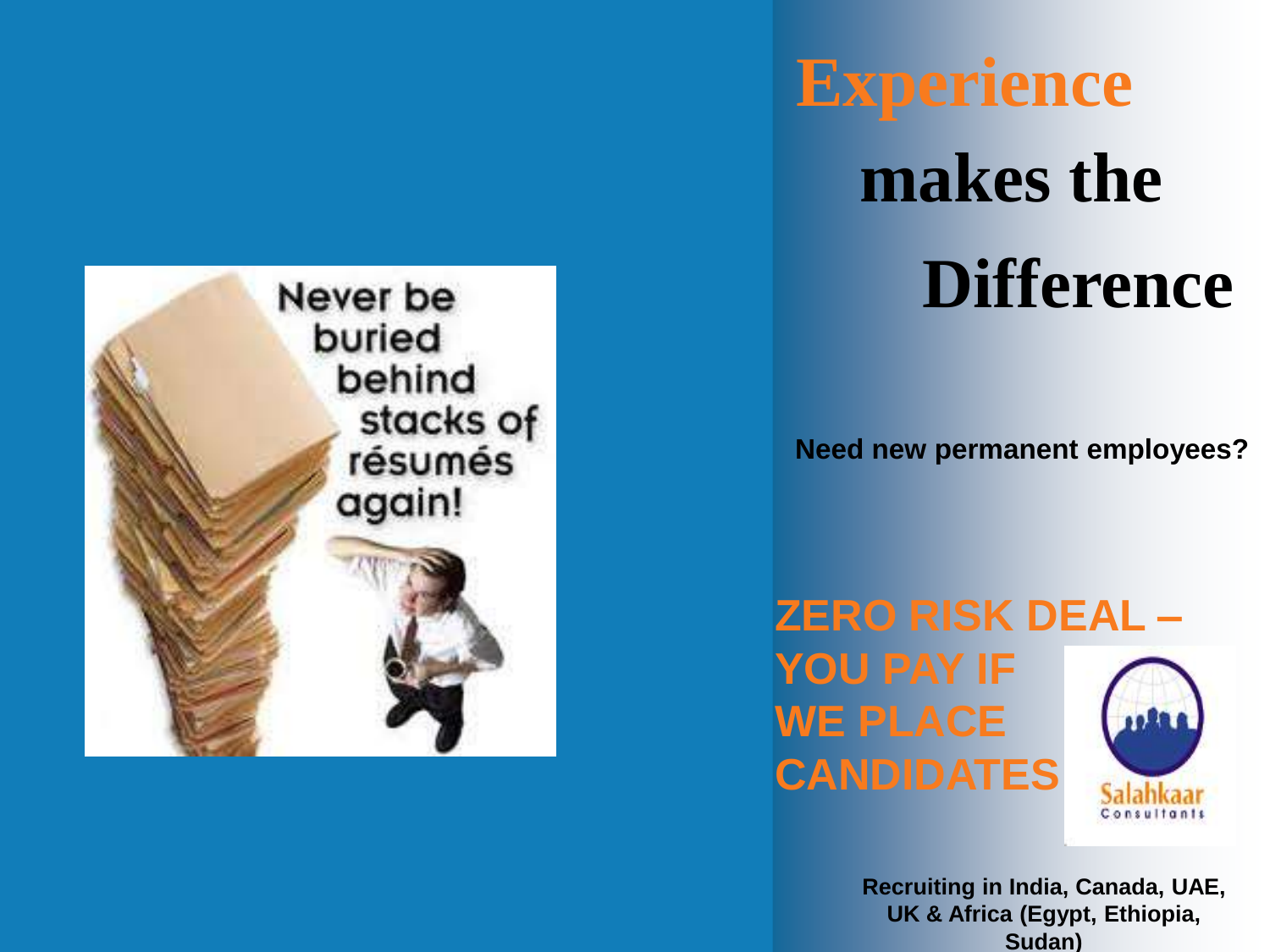

# **Experience makes the Difference**

**Need new permanent employees?**

**ZERO RISK DEAL – YOU PAY IF WE PLACE CANDIDATES**

> **Recruiting in India, Canada, UAE, UK & Africa (Egypt, Ethiopia, Sudan)**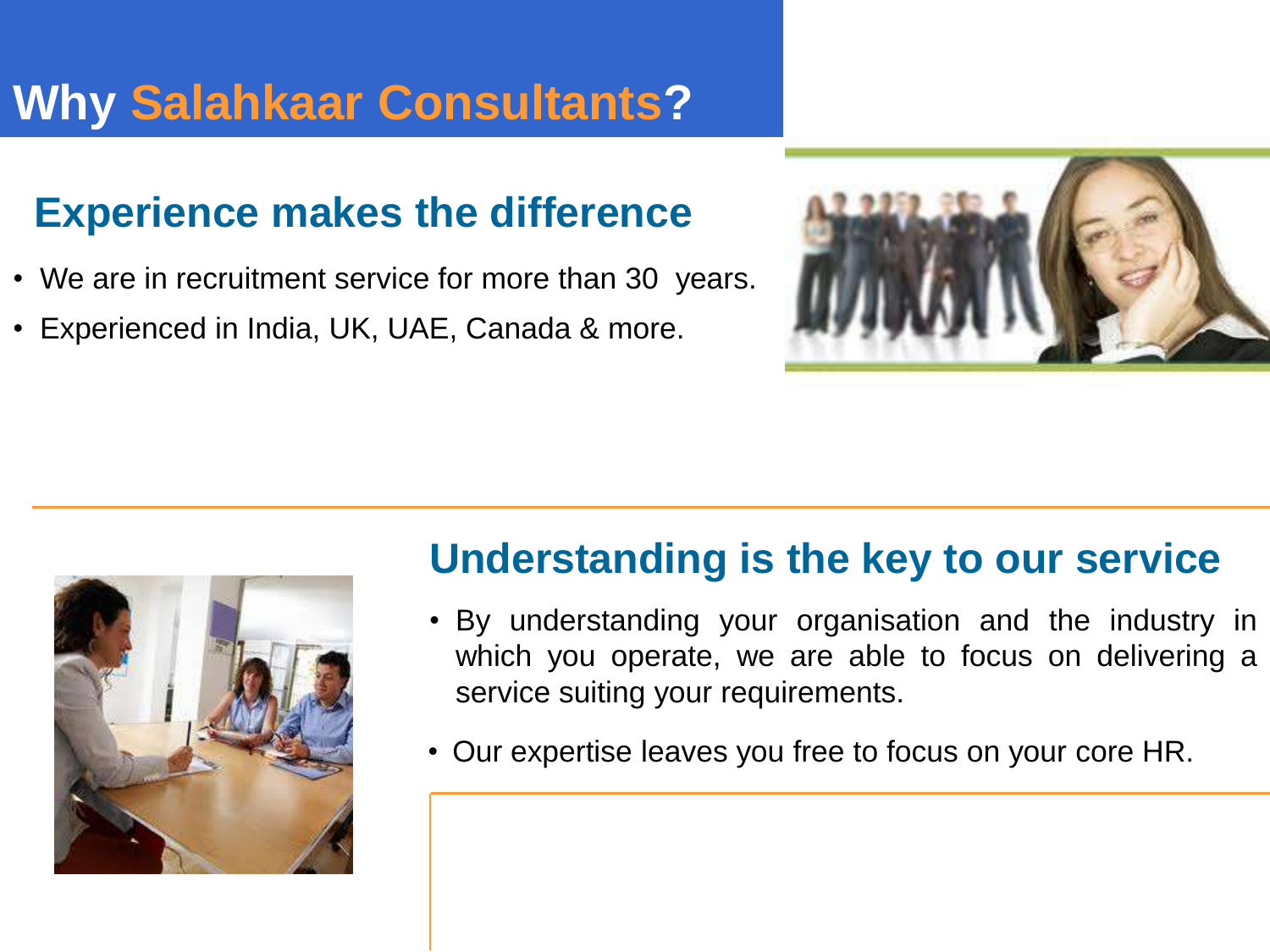### **Why Salahkaar Consultants?**

#### **Experience makes the difference**

- We are in recruitment service for more than 30 years.
- Experienced in India, UK, UAE, Canada & more.





#### **Understanding is the key to our service**

- By understanding your organisation and the industry in which you operate, we are able to focus on delivering a service suiting your requirements.
- Our expertise leaves you free to focus on your core HR.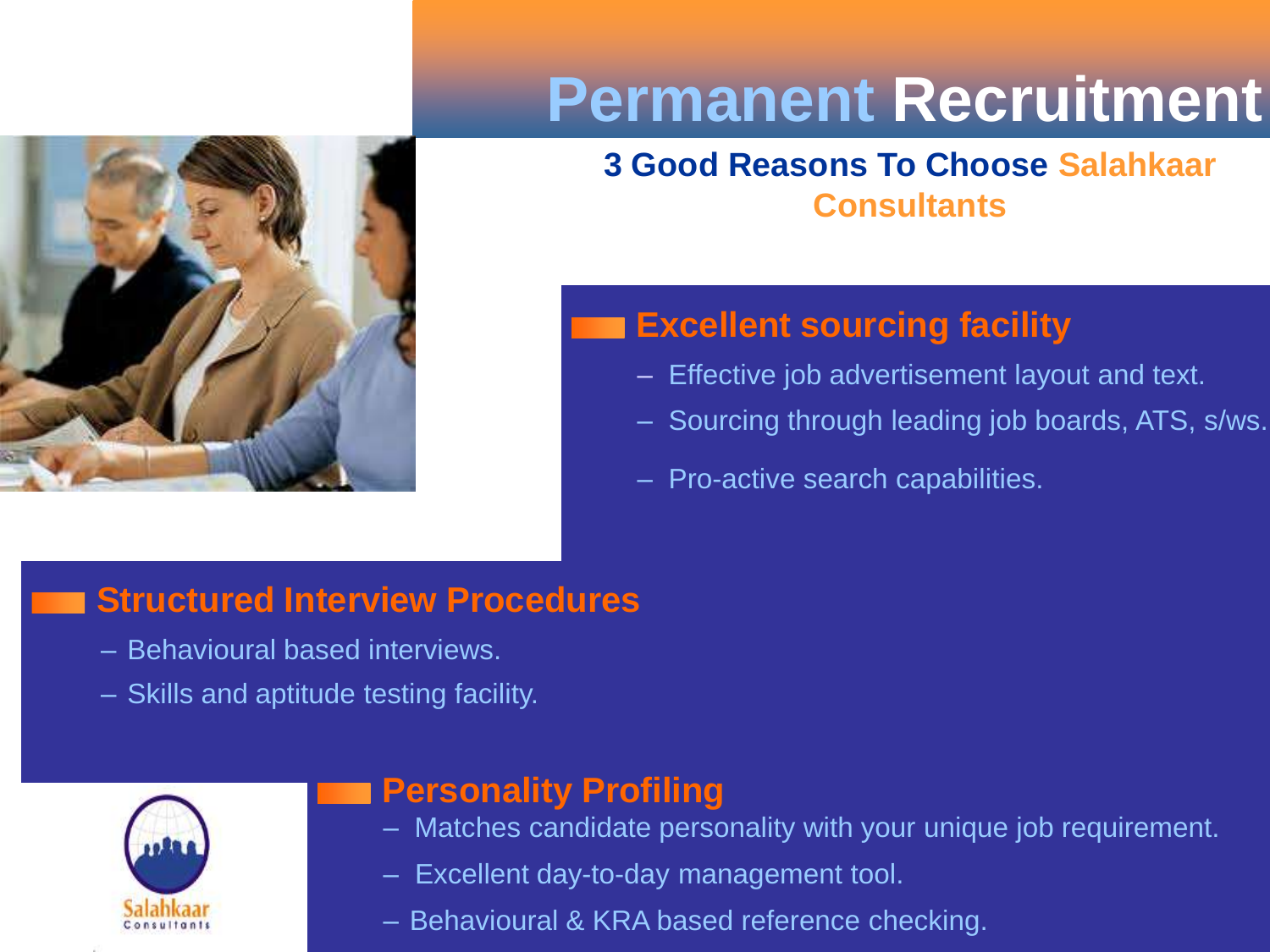

## **Permanent Recruitment**

#### **3 Good Reasons To Choose Salahkaar Consultants**

#### **Excellent sourcing facility**

- Effective job advertisement layout and text.
- Sourcing through leading job boards, ATS, s/ws.
- Pro-active search capabilities.

#### **Structured Interview Procedures**

- Behavioural based interviews.
- Skills and aptitude testing facility.



#### **Personality Profiling**

- Matches candidate personality with your unique job requirement.
- Excellent day-to-day management tool.
- Behavioural & KRA based reference checking.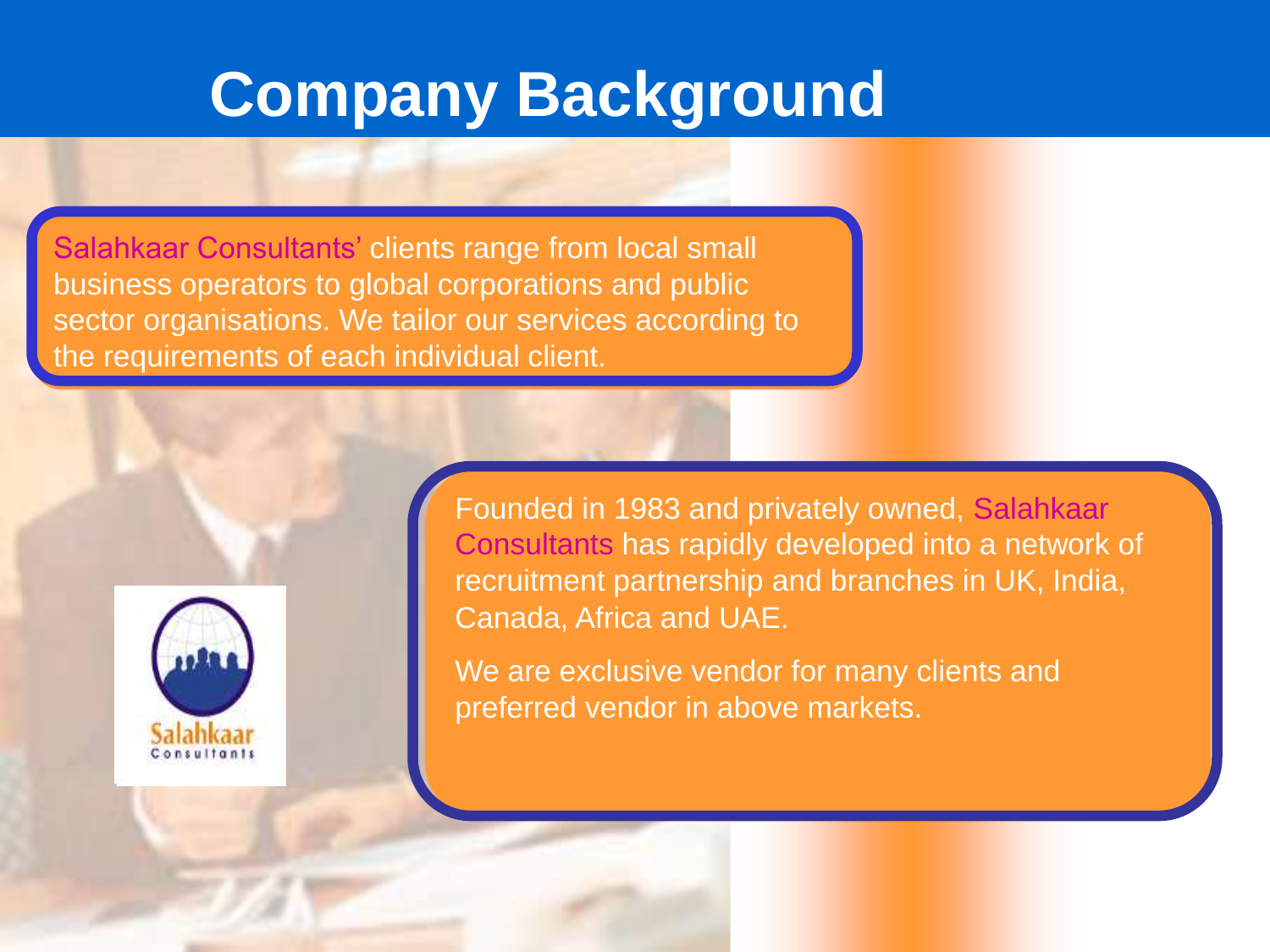### **Company Background**

Salahkaar Consultants' clients range from local small business operators to global corporations and public sector organisations. We tailor our services according to the requirements of each individual client.



Founded in 1983 and privately owned, Salahkaar Consultants has rapidly developed into a network of recruitment partnership and branches in UK, India, Canada, Africa and UAE.

We are exclusive vendor for many clients and preferred vendor in above markets.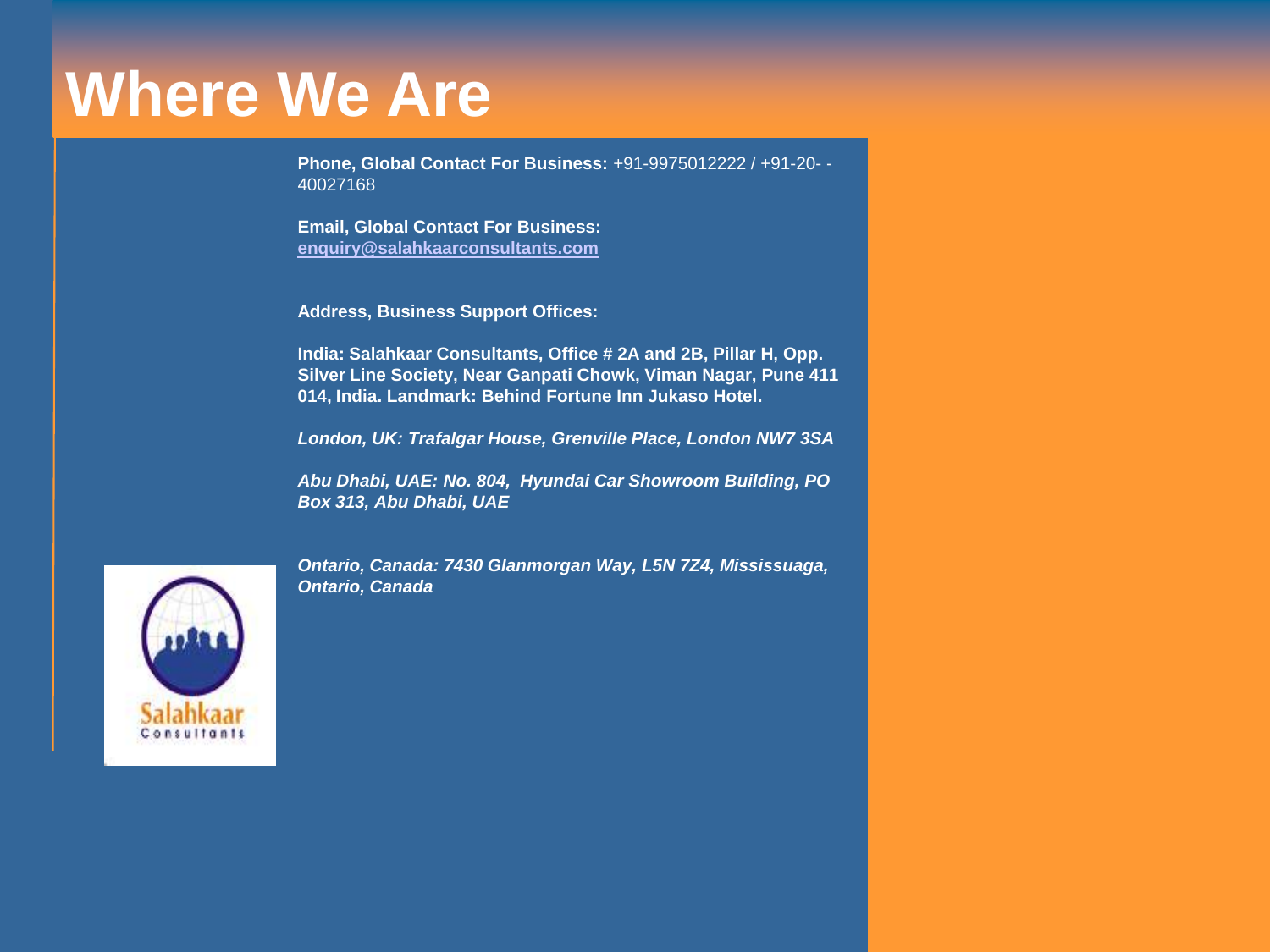### **Where We Are**

**Phone, Global Contact For Business:** +91-9975012222 / +91-20- - 40027168

**Email, Global Contact For Business: [enquiry@salahkaarconsultants.com](http://www.salahkaarconsultants.com/%22mailto:enquiry@salahkaarconsultants.com/%22)**

**Address, Business Support Offices:**

**India: Salahkaar Consultants, Office # 2A and 2B, Pillar H, Opp. Silver Line Society, Near Ganpati Chowk, Viman Nagar, Pune 411 014, India. Landmark: Behind Fortune Inn Jukaso Hotel.**

*London, UK: Trafalgar House, Grenville Place, London NW7 3SA*

*Abu Dhabi, UAE: No. 804, Hyundai Car Showroom Building, PO Box 313, Abu Dhabi, UAE*



*Ontario, Canada: 7430 Glanmorgan Way, L5N 7Z4, Mississuaga, Ontario, Canada*